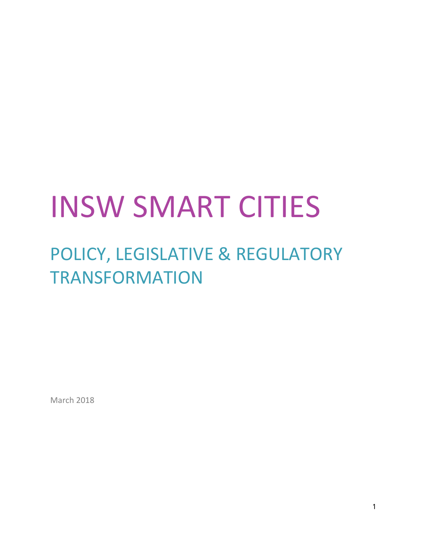# INSW SMART CITIES

# POLICY, LEGISLATIVE & REGULATORY TRANSFORMATION

March 2018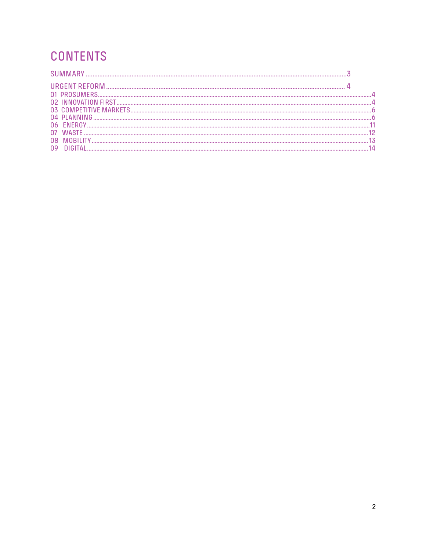# **CONTENTS**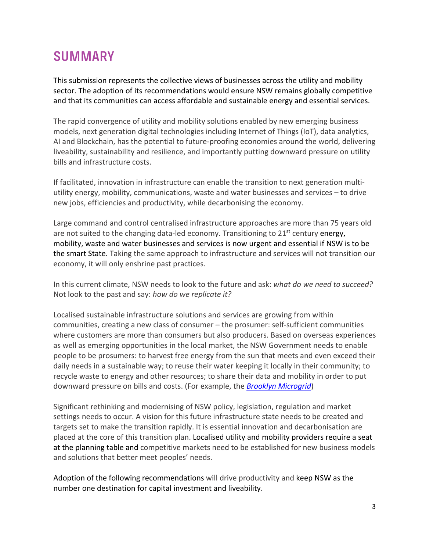## **SUMMARY**

This submission represents the collective views of businesses across the utility and mobility sector. The adoption of its recommendations would ensure NSW remains globally competitive and that its communities can access affordable and sustainable energy and essential services.

The rapid convergence of utility and mobility solutions enabled by new emerging business models, next generation digital technologies including Internet of Things (IoT), data analytics, AI and Blockchain, has the potential to future-proofing economies around the world, delivering liveability, sustainability and resilience, and importantly putting downward pressure on utility bills and infrastructure costs.

If facilitated, innovation in infrastructure can enable the transition to next generation multiutility energy, mobility, communications, waste and water businesses and services – to drive new jobs, efficiencies and productivity, while decarbonising the economy.

Large command and control centralised infrastructure approaches are more than 75 years old are not suited to the changing data-led economy. Transitioning to  $21^{st}$  century energy, mobility, waste and water businesses and services is now urgent and essential if NSW is to be the smart State. Taking the same approach to infrastructure and services will not transition our economy, it will only enshrine past practices.

In this current climate, NSW needs to look to the future and ask: *what do we need to succeed?*  Not look to the past and say: *how do we replicate it?*

Localised sustainable infrastructure solutions and services are growing from within communities, creating a new class of consumer – the prosumer: self-sufficient communities where customers are more than consumers but also producers. Based on overseas experiences as well as emerging opportunities in the local market, the NSW Government needs to enable people to be prosumers: to harvest free energy from the sun that meets and even exceed their daily needs in a sustainable way; to reuse their water keeping it locally in their community; to recycle waste to energy and other resources; to share their data and mobility in order to put downward pressure on bills and costs. (For example, the *Brooklyn Microgrid*)

Significant rethinking and modernising of NSW policy, legislation, regulation and market settings needs to occur. A vision for this future infrastructure state needs to be created and targets set to make the transition rapidly. It is essential innovation and decarbonisation are placed at the core of this transition plan. Localised utility and mobility providers require a seat at the planning table and competitive markets need to be established for new business models and solutions that better meet peoples' needs.

Adoption of the following recommendations will drive productivity and keep NSW as the number one destination for capital investment and liveability.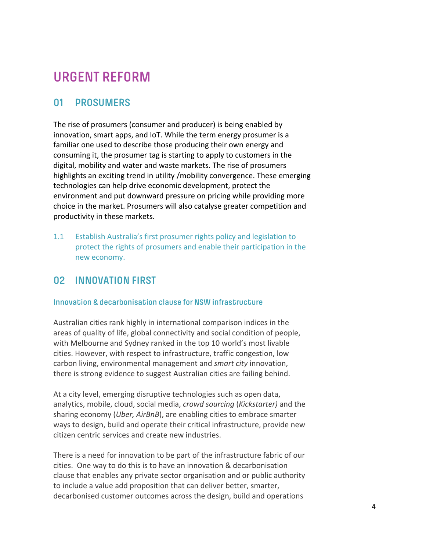# **URGENT REFORM**

#### **01 PROSUMERS**

The rise of prosumers (consumer and producer) is being enabled by innovation, smart apps, and IoT. While the term energy prosumer is a familiar one used to describe those producing their own energy and consuming it, the prosumer tag is starting to apply to customers in the digital, mobility and water and waste markets. The rise of prosumers highlights an exciting trend in utility /mobility convergence. These emerging technologies can help drive economic development, protect the environment and put downward pressure on pricing while providing more choice in the market. Prosumers will also catalyse greater competition and productivity in these markets.

1.1 Establish Australia's first prosumer rights policy and legislation to protect the rights of prosumers and enable their participation in the new economy.

#### **02 INNOVATION FIRST**

#### **Innovation & decarbonisation clause for NSW infrastructure**

Australian cities rank highly in international comparison indices in the areas of quality of life, global connectivity and social condition of people, with Melbourne and Sydney ranked in the top 10 world's most livable cities. However, with respect to infrastructure, traffic congestion, low carbon living, environmental management and *smart city* innovation, there is strong evidence to suggest Australian cities are failing behind.

At a city level, emerging disruptive technologies such as open data, analytics, mobile, cloud, social media, *crowd sourcing* (*Kickstarter)* and the sharing economy (*Uber, AirBnB*), are enabling cities to embrace smarter ways to design, build and operate their critical infrastructure, provide new citizen centric services and create new industries.

There is a need for innovation to be part of the infrastructure fabric of our cities. One way to do this is to have an innovation & decarbonisation clause that enables any private sector organisation and or public authority to include a value add proposition that can deliver better, smarter, decarbonised customer outcomes across the design, build and operations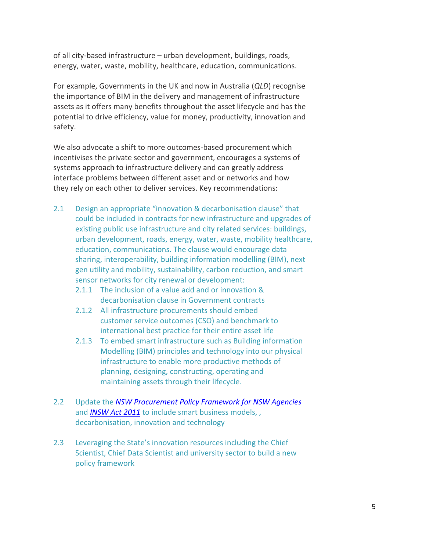of all city-based infrastructure – urban development, buildings, roads, energy, water, waste, mobility, healthcare, education, communications.

For example, Governments in the UK and now in Australia (*QLD*) recognise the importance of BIM in the delivery and management of infrastructure assets as it offers many benefits throughout the asset lifecycle and has the potential to drive efficiency, value for money, productivity, innovation and safety.

We also advocate a shift to more outcomes-based procurement which incentivises the private sector and government, encourages a systems of systems approach to infrastructure delivery and can greatly address interface problems between different asset and or networks and how they rely on each other to deliver services. Key recommendations:

- 2.1 Design an appropriate "innovation & decarbonisation clause" that could be included in contracts for new infrastructure and upgrades of existing public use infrastructure and city related services: buildings, urban development, roads, energy, water, waste, mobility healthcare, education, communications. The clause would encourage data sharing, interoperability, building information modelling (BIM), next gen utility and mobility, sustainability, carbon reduction, and smart sensor networks for city renewal or development:
	- 2.1.1 The inclusion of a value add and or innovation & decarbonisation clause in Government contracts
	- 2.1.2 All infrastructure procurements should embed customer service outcomes (CSO) and benchmark to international best practice for their entire asset life
	- 2.1.3 To embed smart infrastructure such as Building information Modelling (BIM) principles and technology into our physical infrastructure to enable more productive methods of planning, designing, constructing, operating and maintaining assets through their lifecycle.
- 2.2 Update the *NSW Procurement Policy Framework for NSW Agencies* and *INSW Act 2011* to include smart business models, , decarbonisation, innovation and technology
- 2.3 Leveraging the State's innovation resources including the Chief Scientist, Chief Data Scientist and university sector to build a new policy framework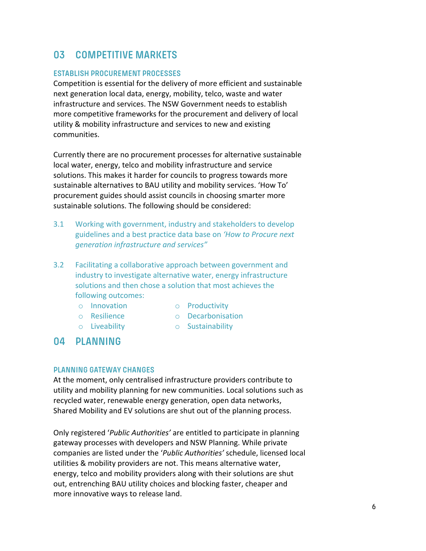#### **03 COMPETITIVE MARKETS**

#### **ESTABLISH PROCUREMENT PROCESSES**

Competition is essential for the delivery of more efficient and sustainable next generation local data, energy, mobility, telco, waste and water infrastructure and services. The NSW Government needs to establish more competitive frameworks for the procurement and delivery of local utility & mobility infrastructure and services to new and existing communities.

Currently there are no procurement processes for alternative sustainable local water, energy, telco and mobility infrastructure and service solutions. This makes it harder for councils to progress towards more sustainable alternatives to BAU utility and mobility services. 'How To' procurement guides should assist councils in choosing smarter more sustainable solutions. The following should be considered:

- 3.1 Working with government, industry and stakeholders to develop guidelines and a best practice data base on *'How to Procure next generation infrastructure and services"*
- 3.2 Facilitating a collaborative approach between government and industry to investigate alternative water, energy infrastructure solutions and then chose a solution that most achieves the following outcomes:
	- o Innovation
	- o Resilience
- o Productivity
- o Decarbonisation
- o Liveability
- o Sustainability

### **04 PLANNING**

#### **PLANNING GATEWAY CHANGES**

At the moment, only centralised infrastructure providers contribute to utility and mobility planning for new communities. Local solutions such as recycled water, renewable energy generation, open data networks, Shared Mobility and EV solutions are shut out of the planning process.

Only registered '*Public Authorities'* are entitled to participate in planning gateway processes with developers and NSW Planning. While private companies are listed under the '*Public Authorities'* schedule, licensed local utilities & mobility providers are not. This means alternative water, energy, telco and mobility providers along with their solutions are shut out, entrenching BAU utility choices and blocking faster, cheaper and more innovative ways to release land.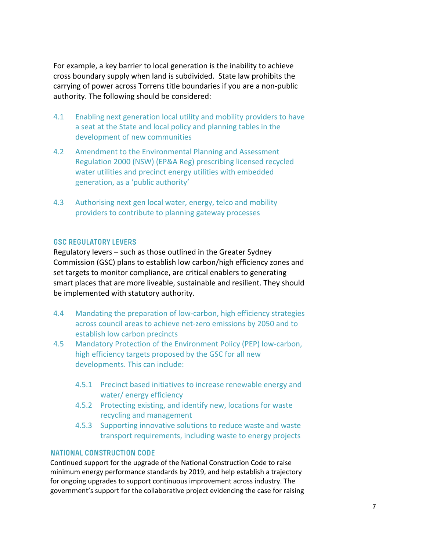For example, a key barrier to local generation is the inability to achieve cross boundary supply when land is subdivided. State law prohibits the carrying of power across Torrens title boundaries if you are a non-public authority. The following should be considered:

- 4.1 Enabling next generation local utility and mobility providers to have a seat at the State and local policy and planning tables in the development of new communities
- 4.2 Amendment to the Environmental Planning and Assessment Regulation 2000 (NSW) (EP&A Reg) prescribing licensed recycled water utilities and precinct energy utilities with embedded generation, as a 'public authority'
- 4.3 Authorising next gen local water, energy, telco and mobility providers to contribute to planning gateway processes

#### **GSC REGULATORY LEVERS**

Regulatory levers – such as those outlined in the Greater Sydney Commission (GSC) plans to establish low carbon/high efficiency zones and set targets to monitor compliance, are critical enablers to generating smart places that are more liveable, sustainable and resilient. They should be implemented with statutory authority.

- 4.4 Mandating the preparation of low-carbon, high efficiency strategies across council areas to achieve net-zero emissions by 2050 and to establish low carbon precincts
- 4.5 Mandatory Protection of the Environment Policy (PEP) low-carbon, high efficiency targets proposed by the GSC for all new developments. This can include:
	- 4.5.1 Precinct based initiatives to increase renewable energy and water/ energy efficiency
	- 4.5.2 Protecting existing, and identify new, locations for waste recycling and management
	- 4.5.3 Supporting innovative solutions to reduce waste and waste transport requirements, including waste to energy projects

#### **NATIONAL CONSTRUCTION CODE**

Continued support for the upgrade of the National Construction Code to raise minimum energy performance standards by 2019, and help establish a trajectory for ongoing upgrades to support continuous improvement across industry. The government's support for the collaborative project evidencing the case for raising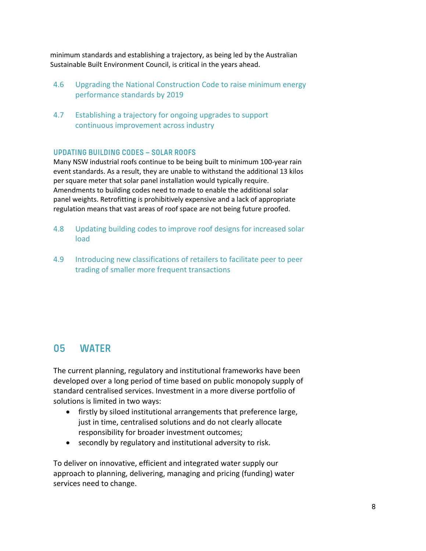minimum standards and establishing a trajectory, as being led by the Australian Sustainable Built Environment Council, is critical in the years ahead.

- 4.6 Upgrading the National Construction Code to raise minimum energy performance standards by 2019
- 4.7 Establishing a trajectory for ongoing upgrades to support continuous improvement across industry

#### **UPDATING BUILDING CODES – SOLAR ROOFS**

Many NSW industrial roofs continue to be being built to minimum 100-year rain event standards. As a result, they are unable to withstand the additional 13 kilos per square meter that solar panel installation would typically require. Amendments to building codes need to made to enable the additional solar panel weights. Retrofitting is prohibitively expensive and a lack of appropriate regulation means that vast areas of roof space are not being future proofed.

- 4.8 Updating building codes to improve roof designs for increased solar load
- 4.9 Introducing new classifications of retailers to facilitate peer to peer trading of smaller more frequent transactions

#### **05 WATER**

The current planning, regulatory and institutional frameworks have been developed over a long period of time based on public monopoly supply of standard centralised services. Investment in a more diverse portfolio of solutions is limited in two ways:

- firstly by siloed institutional arrangements that preference large, just in time, centralised solutions and do not clearly allocate responsibility for broader investment outcomes;
- secondly by regulatory and institutional adversity to risk.

To deliver on innovative, efficient and integrated water supply our approach to planning, delivering, managing and pricing (funding) water services need to change.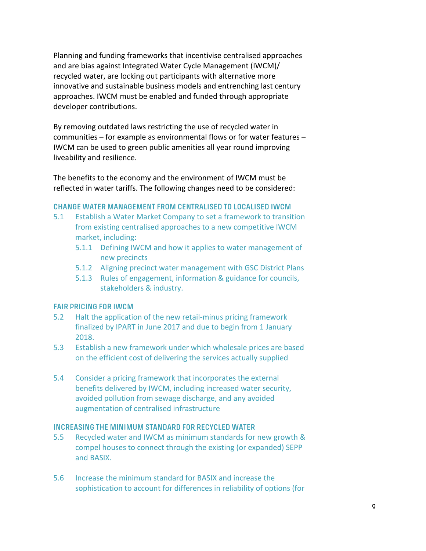Planning and funding frameworks that incentivise centralised approaches and are bias against Integrated Water Cycle Management (IWCM)/ recycled water, are locking out participants with alternative more innovative and sustainable business models and entrenching last century approaches. IWCM must be enabled and funded through appropriate developer contributions.

By removing outdated laws restricting the use of recycled water in communities – for example as environmental flows or for water features – IWCM can be used to green public amenities all year round improving liveability and resilience.

The benefits to the economy and the environment of IWCM must be reflected in water tariffs. The following changes need to be considered:

#### **CHANGE WATER MANAGEMENT FROM CENTRALISED TO LOCALISED IWCM**

- 5.1 Establish a Water Market Company to set a framework to transition from existing centralised approaches to a new competitive IWCM market, including:
	- 5.1.1 Defining IWCM and how it applies to water management of new precincts
	- 5.1.2 Aligning precinct water management with GSC District Plans
	- 5.1.3 Rules of engagement, information & guidance for councils, stakeholders & industry.

#### **FAIR PRICING FOR IWCM**

- 5.2 Halt the application of the new retail-minus pricing framework finalized by IPART in June 2017 and due to begin from 1 January 2018.
- 5.3 Establish a new framework under which wholesale prices are based on the efficient cost of delivering the services actually supplied
- 5.4 Consider a pricing framework that incorporates the external benefits delivered by IWCM, including increased water security, avoided pollution from sewage discharge, and any avoided augmentation of centralised infrastructure

#### **INCREASING THE MINIMUM STANDARD FOR RECYCLED WATER**

- 5.5 Recycled water and IWCM as minimum standards for new growth & compel houses to connect through the existing (or expanded) SEPP and BASIX.
- 5.6 Increase the minimum standard for BASIX and increase the sophistication to account for differences in reliability of options (for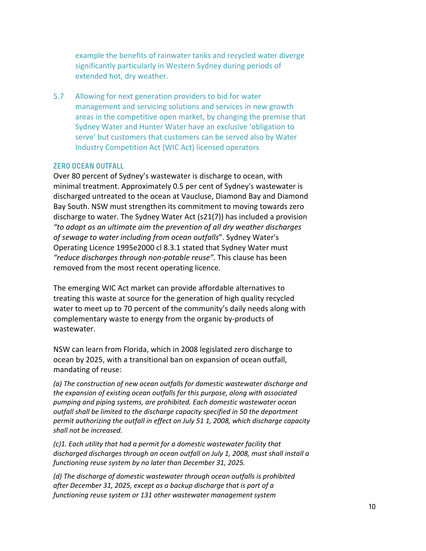example the benefits of rainwater tanks and recycled water diverge significantly particularly in Western Sydney during periods of extended hot, dry weather.

5.7 Allowing for next generation providers to bid for water management and servicing solutions and services in new growth areas in the competitive open market, by changing the premise that Sydney Water and Hunter Water have an exclusive 'obligation to serve' but customers that customers can be served also by Water Industry Competition Act (WIC Act) licensed operators

#### **ZERO OCEAN OUTFALL**

Over 80 percent of Sydney's wastewater is discharge to ocean, with minimal treatment. Approximately 0.5 per cent of Sydney's wastewater is discharged untreated to the ocean at Vaucluse, Diamond Bay and Diamond Bay South. NSW must strengthen its commitment to moving towards zero discharge to water. The Sydney Water Act (s21(7)) has included a provision *"to adopt as an ultimate aim the prevention of all dry weather discharges of sewage to water including from ocean outfalls*". Sydney Water's Operating Licence 1995e2000 cl 8.3.1 stated that Sydney Water must *"reduce discharges through non-potable reuse".* This clause has been removed from the most recent operating licence.

The emerging WIC Act market can provide affordable alternatives to treating this waste at source for the generation of high quality recycled water to meet up to 70 percent of the community's daily needs along with complementary waste to energy from the organic by-products of wastewater.

NSW can learn from Florida, which in 2008 legislated zero discharge to ocean by 2025, with a transitional ban on expansion of ocean outfall, mandating of reuse:

*(a) The construction of new ocean outfalls for domestic wastewater discharge and the expansion of existing ocean outfalls for this purpose, along with associated pumping and piping systems, are prohibited. Each domestic wastewater ocean outfall shall be limited to the discharge capacity specified in 50 the department permit authorizing the outfall in effect on July 51 1, 2008, which discharge capacity shall not be increased.*

*(c)1. Each utility that had a permit for a domestic wastewater facility that discharged discharges through an ocean outfall on July 1, 2008, must shall install a functioning reuse system by no later than December 31, 2025.*

*(d) The discharge of domestic wastewater through ocean outfalls is prohibited after December 31, 2025, except as a backup discharge that is part of a functioning reuse system or 131 other wastewater management system*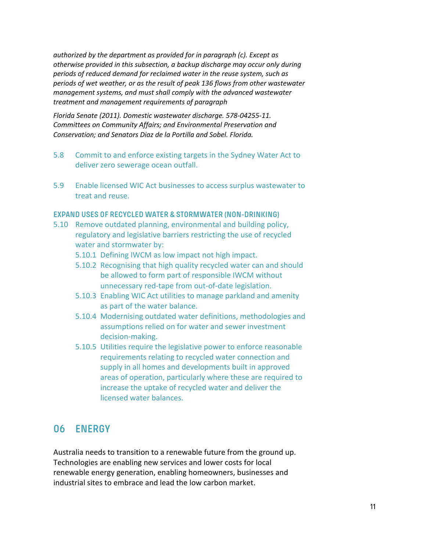*authorized by the department as provided for in paragraph (c). Except as otherwise provided in this subsection, a backup discharge may occur only during periods of reduced demand for reclaimed water in the reuse system, such as periods of wet weather, or as the result of peak 136 flows from other wastewater management systems, and must shall comply with the advanced wastewater treatment and management requirements of paragraph*

*Florida Senate (2011). Domestic wastewater discharge. 578-04255-11. Committees on Community Affairs; and Environmental Preservation and Conservation; and Senators Diaz de la Portilla and Sobel. Florida.*

- 5.8 Commit to and enforce existing targets in the Sydney Water Act to deliver zero sewerage ocean outfall.
- 5.9 Enable licensed WIC Act businesses to access surplus wastewater to treat and reuse.

#### **EXPAND USES OF RECYCLED WATER & STORMWATER (NON-DRINKING)**

- 5.10 Remove outdated planning, environmental and building policy, regulatory and legislative barriers restricting the use of recycled water and stormwater by:
	- 5.10.1 Defining IWCM as low impact not high impact.
	- 5.10.2 Recognising that high quality recycled water can and should be allowed to form part of responsible IWCM without unnecessary red-tape from out-of-date legislation.
	- 5.10.3 Enabling WIC Act utilities to manage parkland and amenity as part of the water balance.
	- 5.10.4 Modernising outdated water definitions, methodologies and assumptions relied on for water and sewer investment decision-making.
	- 5.10.5 Utilities require the legislative power to enforce reasonable requirements relating to recycled water connection and supply in all homes and developments built in approved areas of operation, particularly where these are required to increase the uptake of recycled water and deliver the licensed water balances.

#### **06 ENERGY**

Australia needs to transition to a renewable future from the ground up. Technologies are enabling new services and lower costs for local renewable energy generation, enabling homeowners, businesses and industrial sites to embrace and lead the low carbon market.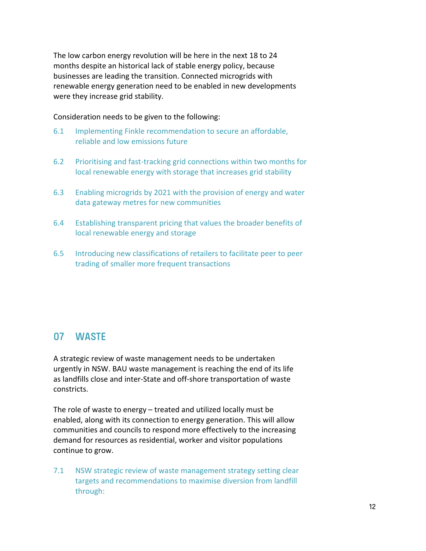The low carbon energy revolution will be here in the next 18 to 24 months despite an historical lack of stable energy policy, because businesses are leading the transition. Connected microgrids with renewable energy generation need to be enabled in new developments were they increase grid stability.

Consideration needs to be given to the following:

- 6.1 Implementing Finkle recommendation to secure an affordable, reliable and low emissions future
- 6.2 Prioritising and fast-tracking grid connections within two months for local renewable energy with storage that increases grid stability
- 6.3 Enabling microgrids by 2021 with the provision of energy and water data gateway metres for new communities
- 6.4 Establishing transparent pricing that values the broader benefits of local renewable energy and storage
- 6.5 Introducing new classifications of retailers to facilitate peer to peer trading of smaller more frequent transactions

#### **07 WASTE**

A strategic review of waste management needs to be undertaken urgently in NSW. BAU waste management is reaching the end of its life as landfills close and inter-State and off-shore transportation of waste constricts.

The role of waste to energy – treated and utilized locally must be enabled, along with its connection to energy generation. This will allow communities and councils to respond more effectively to the increasing demand for resources as residential, worker and visitor populations continue to grow.

7.1 NSW strategic review of waste management strategy setting clear targets and recommendations to maximise diversion from landfill through: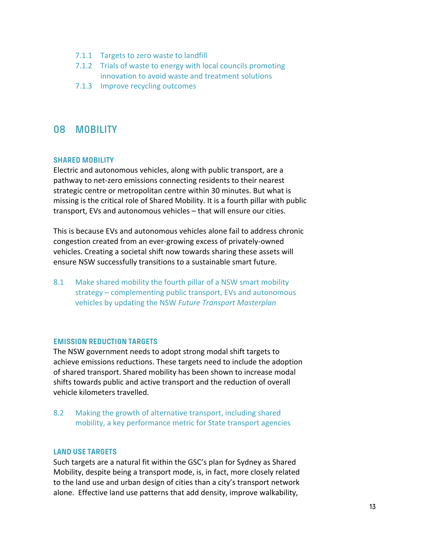- 7.1.1 Targets to zero waste to landfill
- 7.1.2 Trials of waste to energy with local councils promoting innovation to avoid waste and treatment solutions
- 7.1.3 Improve recycling outcomes

#### **08 MOBILITY**

#### **SHARED MOBILITY**

Electric and autonomous vehicles, along with public transport, are a pathway to net-zero emissions connecting residents to their nearest strategic centre or metropolitan centre within 30 minutes. But what is missing is the critical role of Shared Mobility. It is a fourth pillar with public transport, EVs and autonomous vehicles – that will ensure our cities.

This is because EVs and autonomous vehicles alone fail to address chronic congestion created from an ever-growing excess of privately-owned vehicles. Creating a societal shift now towards sharing these assets will ensure NSW successfully transitions to a sustainable smart future.

8.1 Make shared mobility the fourth pillar of a NSW smart mobility strategy – complementing public transport, EVs and autonomous vehicles by updating the NSW *Future Transport Masterplan*

#### **EMISSION REDUCTION TARGETS**

The NSW government needs to adopt strong modal shift targets to achieve emissions reductions. These targets need to include the adoption of shared transport. Shared mobility has been shown to increase modal shifts towards public and active transport and the reduction of overall vehicle kilometers travelled.

8.2 Making the growth of alternative transport, including shared mobility, a key performance metric for State transport agencies

#### **LAND USE TARGETS**

Such targets are a natural fit within the GSC's plan for Sydney as Shared Mobility, despite being a transport mode, is, in fact, more closely related to the land use and urban design of cities than a city's transport network alone. Effective land use patterns that add density, improve walkability,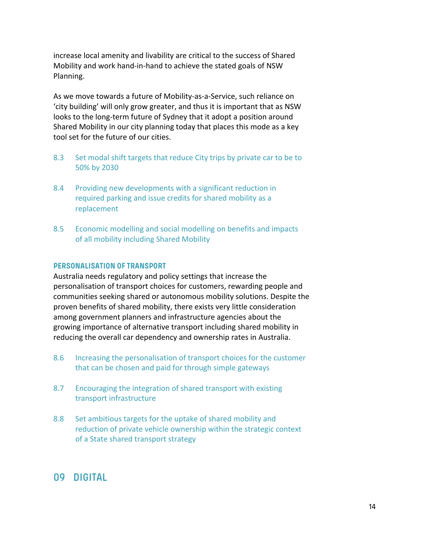increase local amenity and livability are critical to the success of Shared Mobility and work hand-in-hand to achieve the stated goals of NSW Planning.

As we move towards a future of Mobility-as-a-Service, such reliance on 'city building' will only grow greater, and thus it is important that as NSW looks to the long-term future of Sydney that it adopt a position around Shared Mobility in our city planning today that places this mode as a key tool set for the future of our cities.

- 8.3 Set modal shift targets that reduce City trips by private car to be to 50% by 2030
- 8.4 Providing new developments with a significant reduction in required parking and issue credits for shared mobility as a replacement
- 8.5 Economic modelling and social modelling on benefits and impacts of all mobility including Shared Mobility

#### **PERSONALISATION OF TRANSPORT**

Australia needs regulatory and policy settings that increase the personalisation of transport choices for customers, rewarding people and communities seeking shared or autonomous mobility solutions. Despite the proven benefits of shared mobility, there exists very little consideration among government planners and infrastructure agencies about the growing importance of alternative transport including shared mobility in reducing the overall car dependency and ownership rates in Australia.

- 8.6 Increasing the personalisation of transport choices for the customer that can be chosen and paid for through simple gateways
- 8.7 Encouraging the integration of shared transport with existing transport infrastructure
- 8.8 Set ambitious targets for the uptake of shared mobility and reduction of private vehicle ownership within the strategic context of a State shared transport strategy

#### **09 DIGITAL**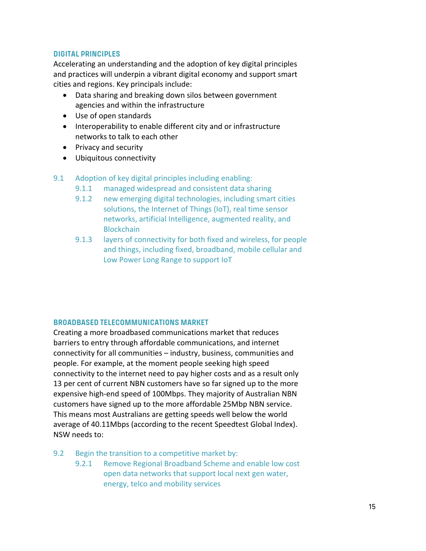#### **DIGITAL PRINCIPLES**

Accelerating an understanding and the adoption of key digital principles and practices will underpin a vibrant digital economy and support smart cities and regions. Key principals include:

- Data sharing and breaking down silos between government agencies and within the infrastructure
- Use of open standards
- Interoperability to enable different city and or infrastructure networks to talk to each other
- Privacy and security
- Ubiquitous connectivity
- 9.1 Adoption of key digital principles including enabling:
	- 9.1.1 managed widespread and consistent data sharing
	- 9.1.2 new emerging digital technologies, including smart cities solutions, the Internet of Things (IoT), real time sensor networks, artificial Intelligence, augmented reality, and **Blockchain**
	- 9.1.3 layers of connectivity for both fixed and wireless, for people and things, including fixed, broadband, mobile cellular and Low Power Long Range to support IoT

#### **BROADBASED TELECOMMUNICATIONS MARKET**

Creating a more broadbased communications market that reduces barriers to entry through affordable communications, and internet connectivity for all communities – industry, business, communities and people. For example, at the moment people seeking high speed connectivity to the internet need to pay higher costs and as a result only 13 per cent of current NBN customers have so far signed up to the more expensive high-end speed of 100Mbps. They majority of Australian NBN customers have signed up to the more affordable 25Mbp NBN service. This means most Australians are getting speeds well below the world average of 40.11Mbps (according to the recent Speedtest Global Index). NSW needs to:

- 9.2 Begin the transition to a competitive market by:
	- 9.2.1 Remove Regional Broadband Scheme and enable low cost open data networks that support local next gen water, energy, telco and mobility services